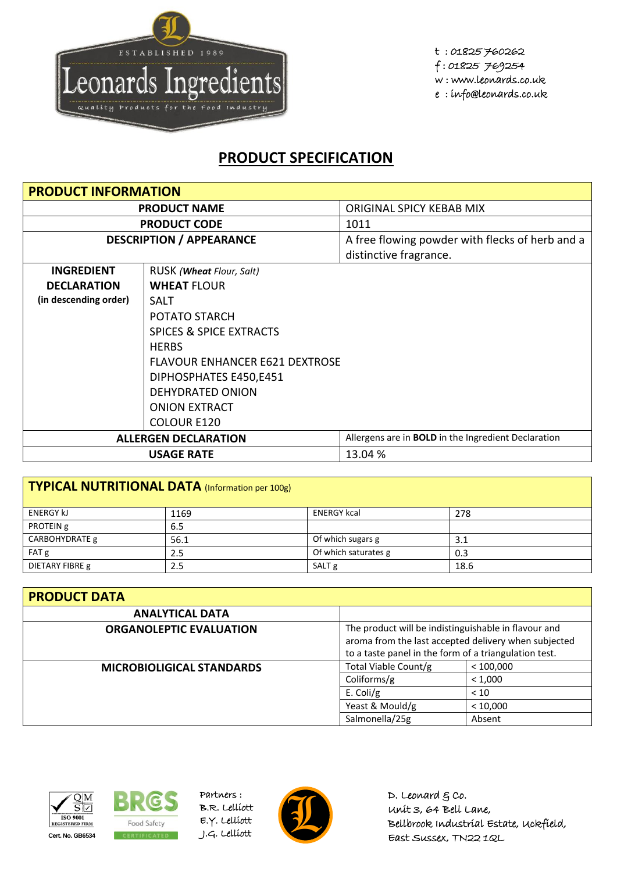

t : 01825 760262 f : 01825 769254 w : www.leonards.co.uk e : info@leonards.co.uk

## **PRODUCT SPECIFICATION**

| <b>PRODUCT INFORMATION</b>  |                                       |                                                            |  |  |
|-----------------------------|---------------------------------------|------------------------------------------------------------|--|--|
| <b>PRODUCT NAME</b>         |                                       | ORIGINAL SPICY KEBAB MIX                                   |  |  |
|                             | <b>PRODUCT CODE</b>                   | 1011                                                       |  |  |
|                             | <b>DESCRIPTION / APPEARANCE</b>       | A free flowing powder with flecks of herb and a            |  |  |
|                             |                                       | distinctive fragrance.                                     |  |  |
| <b>INGREDIENT</b>           | RUSK ( <b>Wheat</b> Flour, Salt)      |                                                            |  |  |
| <b>DECLARATION</b>          | <b>WHEAT FLOUR</b>                    |                                                            |  |  |
| (in descending order)       | <b>SALT</b>                           |                                                            |  |  |
|                             | POTATO STARCH                         |                                                            |  |  |
|                             | <b>SPICES &amp; SPICE EXTRACTS</b>    |                                                            |  |  |
| <b>HERBS</b>                |                                       |                                                            |  |  |
|                             | <b>FLAVOUR ENHANCER E621 DEXTROSE</b> |                                                            |  |  |
|                             | DIPHOSPHATES E450,E451                |                                                            |  |  |
|                             | DEHYDRATED ONION                      |                                                            |  |  |
|                             | <b>ONION EXTRACT</b>                  |                                                            |  |  |
|                             | COLOUR E120                           |                                                            |  |  |
| <b>ALLERGEN DECLARATION</b> |                                       | Allergens are in <b>BOLD</b> in the Ingredient Declaration |  |  |
|                             | <b>USAGE RATE</b>                     | 13.04 %                                                    |  |  |

| TYPICAL NUTRITIONAL DATA (Information per 100g) |      |                      |      |  |
|-------------------------------------------------|------|----------------------|------|--|
| <b>ENERGY KJ</b>                                | 1169 | <b>ENERGY kcal</b>   | 278  |  |
| PROTEIN g                                       | 6.5  |                      |      |  |
| CARBOHYDRATE g                                  | 56.1 | Of which sugars g    | 3.1  |  |
| FAT g                                           | 2.5  | Of which saturates g | 0.3  |  |
| DIETARY FIBRE g                                 | 2.5  | SALT <sub>g</sub>    | 18.6 |  |

| <b>PRODUCT DATA</b>              |                                                                                                                                                                       |           |  |  |
|----------------------------------|-----------------------------------------------------------------------------------------------------------------------------------------------------------------------|-----------|--|--|
| <b>ANALYTICAL DATA</b>           |                                                                                                                                                                       |           |  |  |
| <b>ORGANOLEPTIC EVALUATION</b>   | The product will be indistinguishable in flavour and<br>aroma from the last accepted delivery when subjected<br>to a taste panel in the form of a triangulation test. |           |  |  |
| <b>MICROBIOLIGICAL STANDARDS</b> | Total Viable Count/g                                                                                                                                                  | < 100,000 |  |  |
|                                  | Coliforms/g                                                                                                                                                           | < 1,000   |  |  |
|                                  | E. Coli/g                                                                                                                                                             | < 10      |  |  |
|                                  | Yeast & Mould/g                                                                                                                                                       | < 10,000  |  |  |
|                                  | Salmonella/25g                                                                                                                                                        | Absent    |  |  |





Partners : B.R. Lelliott E.Y. Lelliott



D. Leonard  $g$  co. Unit 3, 64 Bell Lane, Bellbrook Industrial Estate, Uckfield, East Sussex, TN22 1QL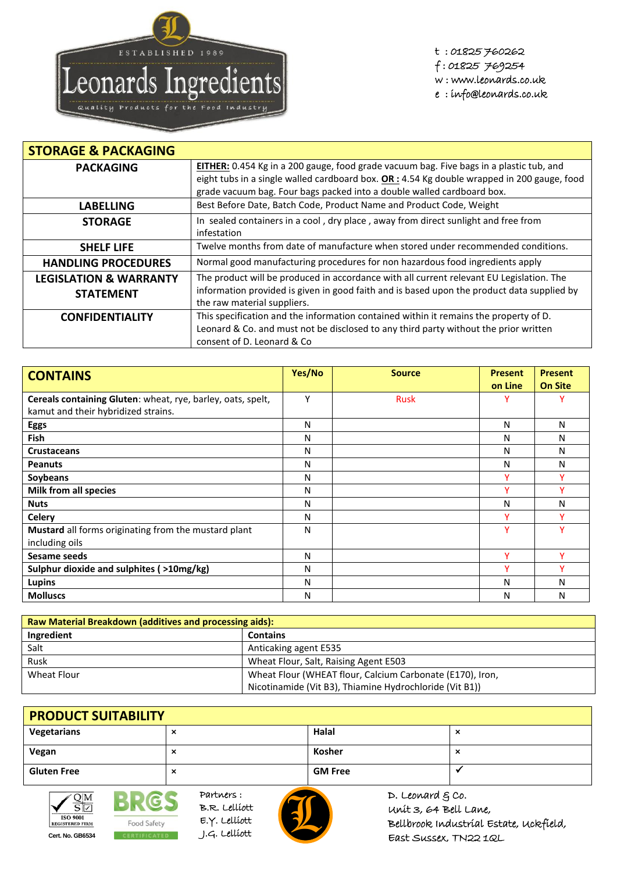

t : 01825 760262 f : 01825 769254 w : www.leonards.co.uk e : info@leonards.co.uk

| <b>STORAGE &amp; PACKAGING</b>    |                                                                                              |
|-----------------------------------|----------------------------------------------------------------------------------------------|
| <b>PACKAGING</b>                  | EITHER: 0.454 Kg in a 200 gauge, food grade vacuum bag. Five bags in a plastic tub, and      |
|                                   | eight tubs in a single walled cardboard box. $OR: 4.54$ Kg double wrapped in 200 gauge, food |
|                                   | grade vacuum bag. Four bags packed into a double walled cardboard box.                       |
| <b>LABELLING</b>                  | Best Before Date, Batch Code, Product Name and Product Code, Weight                          |
| <b>STORAGE</b>                    | In sealed containers in a cool, dry place, away from direct sunlight and free from           |
|                                   | infestation                                                                                  |
| <b>SHELF LIFE</b>                 | Twelve months from date of manufacture when stored under recommended conditions.             |
| <b>HANDLING PROCEDURES</b>        | Normal good manufacturing procedures for non hazardous food ingredients apply                |
| <b>LEGISLATION &amp; WARRANTY</b> | The product will be produced in accordance with all current relevant EU Legislation. The     |
| <b>STATEMENT</b>                  | information provided is given in good faith and is based upon the product data supplied by   |
|                                   | the raw material suppliers.                                                                  |
| <b>CONFIDENTIALITY</b>            | This specification and the information contained within it remains the property of D.        |
|                                   | Leonard & Co. and must not be disclosed to any third party without the prior written         |
|                                   | consent of D. Leonard & Co                                                                   |

| <b>CONTAINS</b>                                             | Yes/No | <b>Source</b> | <b>Present</b> | <b>Present</b> |
|-------------------------------------------------------------|--------|---------------|----------------|----------------|
|                                                             |        |               | on Line        | <b>On Site</b> |
| Cereals containing Gluten: wheat, rye, barley, oats, spelt, | Υ      | <b>Rusk</b>   |                |                |
| kamut and their hybridized strains.                         |        |               |                |                |
| <b>Eggs</b>                                                 | N      |               | N              | Ν              |
| <b>Fish</b>                                                 | N      |               | N              | Ν              |
| <b>Crustaceans</b>                                          | N      |               | N              | N              |
| <b>Peanuts</b>                                              | N      |               | Ν              | Ν              |
| Soybeans                                                    | N      |               |                |                |
| Milk from all species                                       | N      |               |                |                |
| <b>Nuts</b>                                                 | N      |               | N              | Ν              |
| <b>Celery</b>                                               | N      |               |                |                |
| Mustard all forms originating from the mustard plant        | N      |               | Y              |                |
| including oils                                              |        |               |                |                |
| Sesame seeds                                                | N      |               | v              | v              |
| Sulphur dioxide and sulphites (>10mg/kg)                    | N      |               | v              |                |
| Lupins                                                      | N      |               | N              | N              |
| <b>Molluscs</b>                                             | N      |               | N              | N              |

| <b>Raw Material Breakdown (additives and processing aids):</b> |                                                           |  |
|----------------------------------------------------------------|-----------------------------------------------------------|--|
| Ingredient                                                     | <b>Contains</b>                                           |  |
| Salt                                                           | Anticaking agent E535                                     |  |
| Rusk                                                           | Wheat Flour, Salt, Raising Agent E503                     |  |
| Wheat Flour                                                    | Wheat Flour (WHEAT flour, Calcium Carbonate (E170), Iron, |  |
|                                                                | Nicotinamide (Vit B3), Thiamine Hydrochloride (Vit B1))   |  |

| <b>PRODUCT SUITABILITY</b> |   |                |                          |  |
|----------------------------|---|----------------|--------------------------|--|
| Vegetarians                | ⌒ | Halal          | $\overline{\phantom{a}}$ |  |
| Vegan                      | ᄉ | Kosher         | $\overline{\phantom{a}}$ |  |
| <b>Gluten Free</b>         | ᄉ | <b>GM Free</b> |                          |  |



Partners : **BRES** B.R. Lelliott E.Y. Lelliott Food Safety **Cert. No. GB6534** J.G. Lelliott



D. Leonard  $g$  co. Unit 3, 64 Bell Lane, Bellbrook Industrial Estate, Uckfield, East Sussex, TN22 1QL